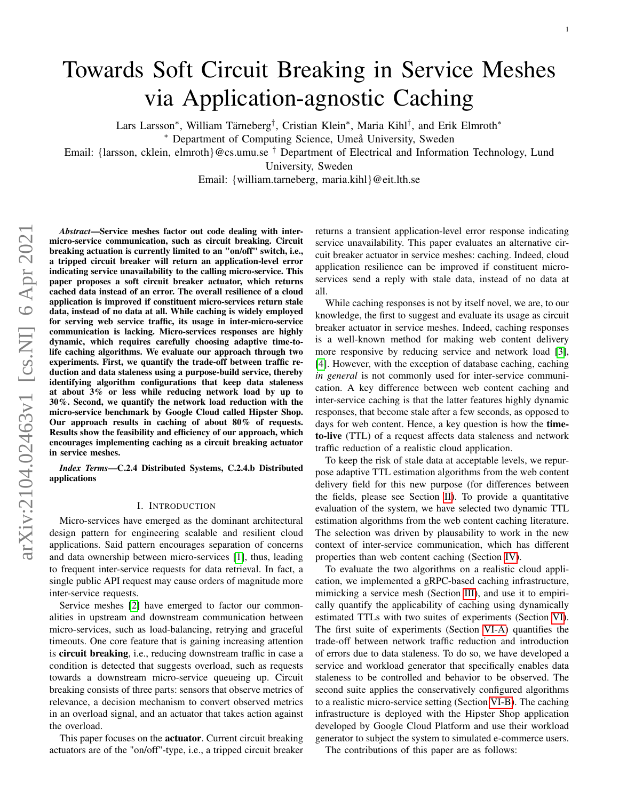# Towards Soft Circuit Breaking in Service Meshes via Application-agnostic Caching

Lars Larsson<sup>∗</sup> , William Tärneberg† , Cristian Klein<sup>∗</sup> , Maria Kihl† , and Erik Elmroth<sup>∗</sup>

<sup>∗</sup> Department of Computing Science, Umeå University, Sweden

Email: {larsson, cklein, elmroth}@cs.umu.se  $^{\dagger}$  Department of Electrical and Information Technology, Lund

University, Sweden

Email: {william.tarneberg, maria.kihl}@eit.lth.se

*Abstract*—Service meshes factor out code dealing with intermicro-service communication, such as circuit breaking. Circuit breaking actuation is currently limited to an "on/off" switch, i.e., a tripped circuit breaker will return an application-level error indicating service unavailability to the calling micro-service. This paper proposes a soft circuit breaker actuator, which returns cached data instead of an error. The overall resilience of a cloud application is improved if constituent micro-services return stale data, instead of no data at all. While caching is widely employed for serving web service traffic, its usage in inter-micro-service communication is lacking. Micro-services responses are highly dynamic, which requires carefully choosing adaptive time-tolife caching algorithms. We evaluate our approach through two experiments. First, we quantify the trade-off between traffic reduction and data staleness using a purpose-build service, thereby identifying algorithm configurations that keep data staleness at about 3% or less while reducing network load by up to 30%. Second, we quantify the network load reduction with the micro-service benchmark by Google Cloud called Hipster Shop. Our approach results in caching of about 80% of requests. Results show the feasibility and efficiency of our approach, which encourages implementing caching as a circuit breaking actuator in service meshes.

*Index Terms*—C.2.4 Distributed Systems, C.2.4.b Distributed applications

## I. INTRODUCTION

Micro-services have emerged as the dominant architectural design pattern for engineering scalable and resilient cloud applications. Said pattern encourages separation of concerns and data ownership between micro-services [\[1\]](#page-10-0), thus, leading to frequent inter-service requests for data retrieval. In fact, a single public API request may cause orders of magnitude more inter-service requests.

Service meshes [\[2\]](#page-10-1) have emerged to factor our commonalities in upstream and downstream communication between micro-services, such as load-balancing, retrying and graceful timeouts. One core feature that is gaining increasing attention is circuit breaking, i.e., reducing downstream traffic in case a condition is detected that suggests overload, such as requests towards a downstream micro-service queueing up. Circuit breaking consists of three parts: sensors that observe metrics of relevance, a decision mechanism to convert observed metrics in an overload signal, and an actuator that takes action against the overload.

This paper focuses on the actuator. Current circuit breaking actuators are of the "on/off"-type, i.e., a tripped circuit breaker returns a transient application-level error response indicating service unavailability. This paper evaluates an alternative circuit breaker actuator in service meshes: caching. Indeed, cloud application resilience can be improved if constituent microservices send a reply with stale data, instead of no data at all.

While caching responses is not by itself novel, we are, to our knowledge, the first to suggest and evaluate its usage as circuit breaker actuator in service meshes. Indeed, caching responses is a well-known method for making web content delivery more responsive by reducing service and network load [\[3\]](#page-10-2), [\[4\]](#page-10-3). However, with the exception of database caching, caching *in general* is not commonly used for inter-service communication. A key difference between web content caching and inter-service caching is that the latter features highly dynamic responses, that become stale after a few seconds, as opposed to days for web content. Hence, a key question is how the timeto-live (TTL) of a request affects data staleness and network traffic reduction of a realistic cloud application.

To keep the risk of stale data at acceptable levels, we repurpose adaptive TTL estimation algorithms from the web content delivery field for this new purpose (for differences between the fields, please see Section [II\)](#page-1-0). To provide a quantitative evaluation of the system, we have selected two dynamic TTL estimation algorithms from the web content caching literature. The selection was driven by plausability to work in the new context of inter-service communication, which has different properties than web content caching (Section [IV\)](#page-2-0).

To evaluate the two algorithms on a realistic cloud application, we implemented a gRPC-based caching infrastructure, mimicking a service mesh (Section [III\)](#page-2-1), and use it to empirically quantify the applicability of caching using dynamically estimated TTLs with two suites of experiments (Section [VI\)](#page-4-0). The first suite of experiments (Section [VI-A\)](#page-4-1) quantifies the trade-off between network traffic reduction and introduction of errors due to data staleness. To do so, we have developed a service and workload generator that specifically enables data staleness to be controlled and behavior to be observed. The second suite applies the conservatively configured algorithms to a realistic micro-service setting (Section [VI-B\)](#page-7-0). The caching infrastructure is deployed with the Hipster Shop application developed by Google Cloud Platform and use their workload generator to subject the system to simulated e-commerce users.

The contributions of this paper are as follows: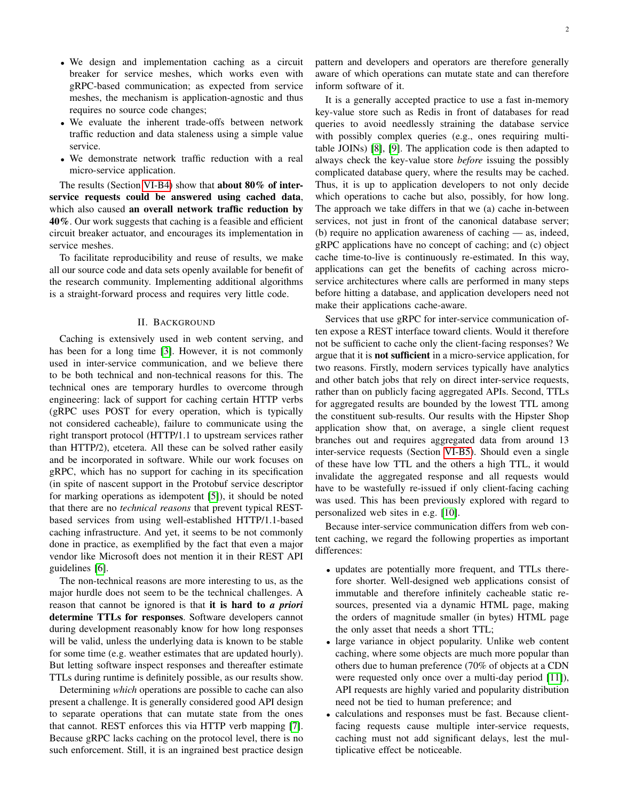- We design and implementation caching as a circuit breaker for service meshes, which works even with gRPC-based communication; as expected from service meshes, the mechanism is application-agnostic and thus requires no source code changes;
- We evaluate the inherent trade-offs between network traffic reduction and data staleness using a simple value service.
- We demonstrate network traffic reduction with a real micro-service application.

The results (Section [VI-B4\)](#page-8-0) show that about 80% of interservice requests could be answered using cached data, which also caused an overall network traffic reduction by 40%. Our work suggests that caching is a feasible and efficient circuit breaker actuator, and encourages its implementation in service meshes.

To facilitate reproducibility and reuse of results, we make all our source code and data sets openly available for benefit of the research community. Implementing additional algorithms is a straight-forward process and requires very little code.

## II. BACKGROUND

<span id="page-1-0"></span>Caching is extensively used in web content serving, and has been for a long time [\[3\]](#page-10-2). However, it is not commonly used in inter-service communication, and we believe there to be both technical and non-technical reasons for this. The technical ones are temporary hurdles to overcome through engineering: lack of support for caching certain HTTP verbs (gRPC uses POST for every operation, which is typically not considered cacheable), failure to communicate using the right transport protocol (HTTP/1.1 to upstream services rather than HTTP/2), etcetera. All these can be solved rather easily and be incorporated in software. While our work focuses on gRPC, which has no support for caching in its specification (in spite of nascent support in the Protobuf service descriptor for marking operations as idempotent [\[5\]](#page-10-4)), it should be noted that there are no *technical reasons* that prevent typical RESTbased services from using well-established HTTP/1.1-based caching infrastructure. And yet, it seems to be not commonly done in practice, as exemplified by the fact that even a major vendor like Microsoft does not mention it in their REST API guidelines [\[6\]](#page-10-5).

The non-technical reasons are more interesting to us, as the major hurdle does not seem to be the technical challenges. A reason that cannot be ignored is that it is hard to *a priori* determine TTLs for responses. Software developers cannot during development reasonably know for how long responses will be valid, unless the underlying data is known to be stable for some time (e.g. weather estimates that are updated hourly). But letting software inspect responses and thereafter estimate TTLs during runtime is definitely possible, as our results show.

Determining *which* operations are possible to cache can also present a challenge. It is generally considered good API design to separate operations that can mutate state from the ones that cannot. REST enforces this via HTTP verb mapping [\[7\]](#page-10-6). Because gRPC lacks caching on the protocol level, there is no such enforcement. Still, it is an ingrained best practice design

pattern and developers and operators are therefore generally aware of which operations can mutate state and can therefore inform software of it.

It is a generally accepted practice to use a fast in-memory key-value store such as Redis in front of databases for read queries to avoid needlessly straining the database service with possibly complex queries (e.g., ones requiring multitable JOINs) [\[8\]](#page-10-7), [\[9\]](#page-10-8). The application code is then adapted to always check the key-value store *before* issuing the possibly complicated database query, where the results may be cached. Thus, it is up to application developers to not only decide which operations to cache but also, possibly, for how long. The approach we take differs in that we (a) cache in-between services, not just in front of the canonical database server; (b) require no application awareness of caching — as, indeed, gRPC applications have no concept of caching; and (c) object cache time-to-live is continuously re-estimated. In this way, applications can get the benefits of caching across microservice architectures where calls are performed in many steps before hitting a database, and application developers need not make their applications cache-aware.

Services that use gRPC for inter-service communication often expose a REST interface toward clients. Would it therefore not be sufficient to cache only the client-facing responses? We argue that it is not sufficient in a micro-service application, for two reasons. Firstly, modern services typically have analytics and other batch jobs that rely on direct inter-service requests, rather than on publicly facing aggregated APIs. Second, TTLs for aggregated results are bounded by the lowest TTL among the constituent sub-results. Our results with the Hipster Shop application show that, on average, a single client request branches out and requires aggregated data from around 13 inter-service requests (Section [VI-B5\)](#page-9-0). Should even a single of these have low TTL and the others a high TTL, it would invalidate the aggregated response and all requests would have to be wastefully re-issued if only client-facing caching was used. This has been previously explored with regard to personalized web sites in e.g. [\[10\]](#page-10-9).

Because inter-service communication differs from web content caching, we regard the following properties as important differences:

- updates are potentially more frequent, and TTLs therefore shorter. Well-designed web applications consist of immutable and therefore infinitely cacheable static resources, presented via a dynamic HTML page, making the orders of magnitude smaller (in bytes) HTML page the only asset that needs a short TTL;
- large variance in object popularity. Unlike web content caching, where some objects are much more popular than others due to human preference (70% of objects at a CDN were requested only once over a multi-day period [\[11\]](#page-10-10)), API requests are highly varied and popularity distribution need not be tied to human preference; and
- calculations and responses must be fast. Because clientfacing requests cause multiple inter-service requests, caching must not add significant delays, lest the multiplicative effect be noticeable.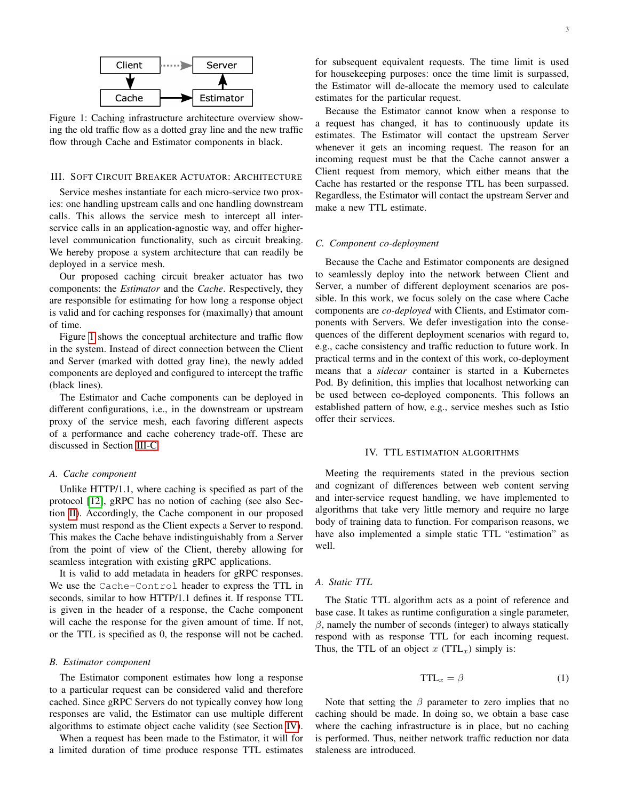<span id="page-2-2"></span>

Figure 1: Caching infrastructure architecture overview showing the old traffic flow as a dotted gray line and the new traffic flow through Cache and Estimator components in black.

#### <span id="page-2-1"></span>III. SOFT CIRCUIT BREAKER ACTUATOR: ARCHITECTURE

Service meshes instantiate for each micro-service two proxies: one handling upstream calls and one handling downstream calls. This allows the service mesh to intercept all interservice calls in an application-agnostic way, and offer higherlevel communication functionality, such as circuit breaking. We hereby propose a system architecture that can readily be deployed in a service mesh.

Our proposed caching circuit breaker actuator has two components: the *Estimator* and the *Cache*. Respectively, they are responsible for estimating for how long a response object is valid and for caching responses for (maximally) that amount of time.

Figure [1](#page-2-2) shows the conceptual architecture and traffic flow in the system. Instead of direct connection between the Client and Server (marked with dotted gray line), the newly added components are deployed and configured to intercept the traffic (black lines).

The Estimator and Cache components can be deployed in different configurations, i.e., in the downstream or upstream proxy of the service mesh, each favoring different aspects of a performance and cache coherency trade-off. These are discussed in Section [III-C.](#page-2-3)

#### *A. Cache component*

Unlike HTTP/1.1, where caching is specified as part of the protocol [\[12\]](#page-10-11), gRPC has no notion of caching (see also Section [II\)](#page-1-0). Accordingly, the Cache component in our proposed system must respond as the Client expects a Server to respond. This makes the Cache behave indistinguishably from a Server from the point of view of the Client, thereby allowing for seamless integration with existing gRPC applications.

It is valid to add metadata in headers for gRPC responses. We use the Cache-Control header to express the TTL in seconds, similar to how HTTP/1.1 defines it. If response TTL is given in the header of a response, the Cache component will cache the response for the given amount of time. If not, or the TTL is specified as 0, the response will not be cached.

#### *B. Estimator component*

The Estimator component estimates how long a response to a particular request can be considered valid and therefore cached. Since gRPC Servers do not typically convey how long responses are valid, the Estimator can use multiple different algorithms to estimate object cache validity (see Section [IV\)](#page-2-0).

When a request has been made to the Estimator, it will for a limited duration of time produce response TTL estimates

for subsequent equivalent requests. The time limit is used for housekeeping purposes: once the time limit is surpassed, the Estimator will de-allocate the memory used to calculate estimates for the particular request.

Because the Estimator cannot know when a response to a request has changed, it has to continuously update its estimates. The Estimator will contact the upstream Server whenever it gets an incoming request. The reason for an incoming request must be that the Cache cannot answer a Client request from memory, which either means that the Cache has restarted or the response TTL has been surpassed. Regardless, the Estimator will contact the upstream Server and make a new TTL estimate.

#### <span id="page-2-3"></span>*C. Component co-deployment*

Because the Cache and Estimator components are designed to seamlessly deploy into the network between Client and Server, a number of different deployment scenarios are possible. In this work, we focus solely on the case where Cache components are *co-deployed* with Clients, and Estimator components with Servers. We defer investigation into the consequences of the different deployment scenarios with regard to, e.g., cache consistency and traffic reduction to future work. In practical terms and in the context of this work, co-deployment means that a *sidecar* container is started in a Kubernetes Pod. By definition, this implies that localhost networking can be used between co-deployed components. This follows an established pattern of how, e.g., service meshes such as Istio offer their services.

#### IV. TTL ESTIMATION ALGORITHMS

<span id="page-2-0"></span>Meeting the requirements stated in the previous section and cognizant of differences between web content serving and inter-service request handling, we have implemented to algorithms that take very little memory and require no large body of training data to function. For comparison reasons, we have also implemented a simple static TTL "estimation" as well.

#### *A. Static TTL*

The Static TTL algorithm acts as a point of reference and base case. It takes as runtime configuration a single parameter,  $\beta$ , namely the number of seconds (integer) to always statically respond with as response TTL for each incoming request. Thus, the TTL of an object  $x$  (TTL<sub>x</sub>) simply is:

$$
TTL_x = \beta \tag{1}
$$

Note that setting the  $\beta$  parameter to zero implies that no caching should be made. In doing so, we obtain a base case where the caching infrastructure is in place, but no caching is performed. Thus, neither network traffic reduction nor data staleness are introduced.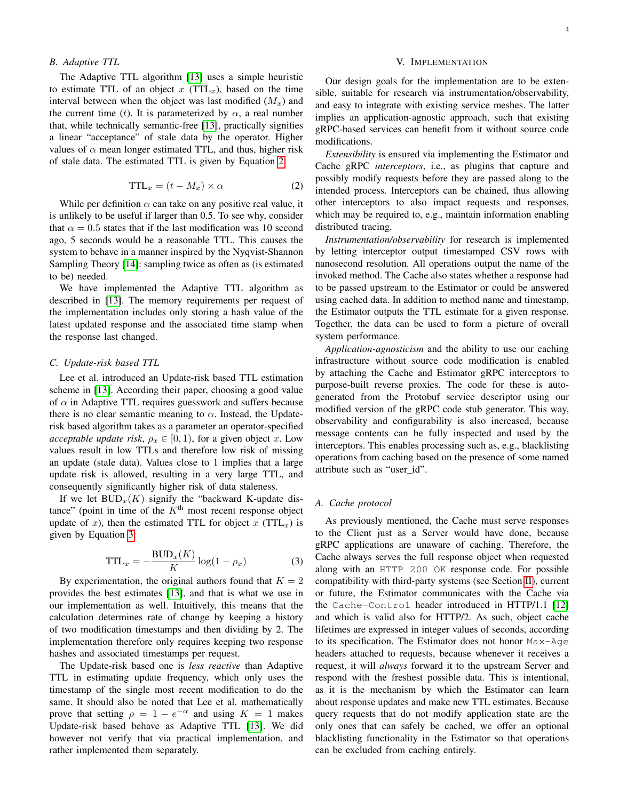# <span id="page-3-2"></span>*B. Adaptive TTL*

The Adaptive TTL algorithm [\[13\]](#page-10-12) uses a simple heuristic to estimate TTL of an object x  $(TTL<sub>x</sub>)$ , based on the time interval between when the object was last modified  $(M_x)$  and the current time (t). It is parameterized by  $\alpha$ , a real number that, while technically semantic-free [\[13\]](#page-10-12), practically signifies a linear "acceptance" of stale data by the operator. Higher values of  $\alpha$  mean longer estimated TTL, and thus, higher risk of stale data. The estimated TTL is given by Equation [2:](#page-3-0)

<span id="page-3-0"></span>
$$
TTL_x = (t - M_x) \times \alpha \tag{2}
$$

While per definition  $\alpha$  can take on any positive real value, it is unlikely to be useful if larger than 0.5. To see why, consider that  $\alpha = 0.5$  states that if the last modification was 10 second ago, 5 seconds would be a reasonable TTL. This causes the system to behave in a manner inspired by the Nyqvist-Shannon Sampling Theory [\[14\]](#page-10-13): sampling twice as often as (is estimated to be) needed.

We have implemented the Adaptive TTL algorithm as described in [\[13\]](#page-10-12). The memory requirements per request of the implementation includes only storing a hash value of the latest updated response and the associated time stamp when the response last changed.

#### <span id="page-3-3"></span>*C. Update-risk based TTL*

Lee et al. introduced an Update-risk based TTL estimation scheme in [\[13\]](#page-10-12). According their paper, choosing a good value of  $\alpha$  in Adaptive TTL requires guesswork and suffers because there is no clear semantic meaning to  $\alpha$ . Instead, the Updaterisk based algorithm takes as a parameter an operator-specified *acceptable update risk*,  $\rho_x \in [0, 1)$ , for a given object x. Low values result in low TTLs and therefore low risk of missing an update (stale data). Values close to 1 implies that a large update risk is allowed, resulting in a very large TTL, and consequently significantly higher risk of data staleness.

If we let  $BUD_x(K)$  signify the "backward K-update distance" (point in time of the  $K<sup>th</sup>$  most recent response object update of x), then the estimated TTL for object x (TTL<sub>x</sub>) is given by Equation [3:](#page-3-1)

<span id="page-3-1"></span>
$$
TTL_x = -\frac{BUD_x(K)}{K}\log(1 - \rho_x)
$$
 (3)

By experimentation, the original authors found that  $K = 2$ provides the best estimates [\[13\]](#page-10-12), and that is what we use in our implementation as well. Intuitively, this means that the calculation determines rate of change by keeping a history of two modification timestamps and then dividing by 2. The implementation therefore only requires keeping two response hashes and associated timestamps per request.

The Update-risk based one is *less reactive* than Adaptive TTL in estimating update frequency, which only uses the timestamp of the single most recent modification to do the same. It should also be noted that Lee et al. mathematically prove that setting  $\rho = 1 - e^{-\alpha}$  and using  $K = 1$  makes Update-risk based behave as Adaptive TTL [\[13\]](#page-10-12). We did however not verify that via practical implementation, and rather implemented them separately.

#### V. IMPLEMENTATION

<span id="page-3-4"></span>Our design goals for the implementation are to be extensible, suitable for research via instrumentation/observability, and easy to integrate with existing service meshes. The latter implies an application-agnostic approach, such that existing gRPC-based services can benefit from it without source code modifications.

*Extensibility* is ensured via implementing the Estimator and Cache gRPC *interceptors*, i.e., as plugins that capture and possibly modify requests before they are passed along to the intended process. Interceptors can be chained, thus allowing other interceptors to also impact requests and responses, which may be required to, e.g., maintain information enabling distributed tracing.

*Instrumentation/observability* for research is implemented by letting interceptor output timestamped CSV rows with nanosecond resolution. All operations output the name of the invoked method. The Cache also states whether a response had to be passed upstream to the Estimator or could be answered using cached data. In addition to method name and timestamp, the Estimator outputs the TTL estimate for a given response. Together, the data can be used to form a picture of overall system performance.

*Application-agnosticism* and the ability to use our caching infrastructure without source code modification is enabled by attaching the Cache and Estimator gRPC interceptors to purpose-built reverse proxies. The code for these is autogenerated from the Protobuf service descriptor using our modified version of the gRPC code stub generator. This way, observability and configurability is also increased, because message contents can be fully inspected and used by the interceptors. This enables processing such as, e.g., blacklisting operations from caching based on the presence of some named attribute such as "user\_id".

#### *A. Cache protocol*

As previously mentioned, the Cache must serve responses to the Client just as a Server would have done, because gRPC applications are unaware of caching. Therefore, the Cache always serves the full response object when requested along with an HTTP 200 OK response code. For possible compatibility with third-party systems (see Section [II\)](#page-1-0), current or future, the Estimator communicates with the Cache via the Cache-Control header introduced in HTTP/1.1 [\[12\]](#page-10-11) and which is valid also for HTTP/2. As such, object cache lifetimes are expressed in integer values of seconds, according to its specification. The Estimator does not honor Max-Age headers attached to requests, because whenever it receives a request, it will *always* forward it to the upstream Server and respond with the freshest possible data. This is intentional, as it is the mechanism by which the Estimator can learn about response updates and make new TTL estimates. Because query requests that do not modify application state are the only ones that can safely be cached, we offer an optional blacklisting functionality in the Estimator so that operations can be excluded from caching entirely.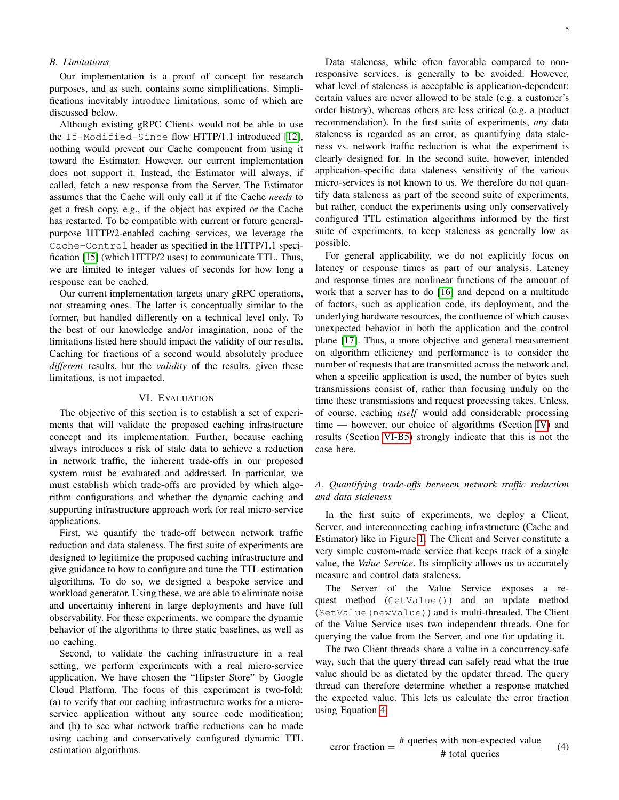## *B. Limitations*

Our implementation is a proof of concept for research purposes, and as such, contains some simplifications. Simplifications inevitably introduce limitations, some of which are discussed below.

Although existing gRPC Clients would not be able to use the If-Modified-Since flow HTTP/1.1 introduced [\[12\]](#page-10-11), nothing would prevent our Cache component from using it toward the Estimator. However, our current implementation does not support it. Instead, the Estimator will always, if called, fetch a new response from the Server. The Estimator assumes that the Cache will only call it if the Cache *needs* to get a fresh copy, e.g., if the object has expired or the Cache has restarted. To be compatible with current or future generalpurpose HTTP/2-enabled caching services, we leverage the Cache-Control header as specified in the HTTP/1.1 specification [\[15\]](#page-11-0) (which HTTP/2 uses) to communicate TTL. Thus, we are limited to integer values of seconds for how long a response can be cached.

Our current implementation targets unary gRPC operations, not streaming ones. The latter is conceptually similar to the former, but handled differently on a technical level only. To the best of our knowledge and/or imagination, none of the limitations listed here should impact the validity of our results. Caching for fractions of a second would absolutely produce *different* results, but the *validity* of the results, given these limitations, is not impacted.

## VI. EVALUATION

<span id="page-4-0"></span>The objective of this section is to establish a set of experiments that will validate the proposed caching infrastructure concept and its implementation. Further, because caching always introduces a risk of stale data to achieve a reduction in network traffic, the inherent trade-offs in our proposed system must be evaluated and addressed. In particular, we must establish which trade-offs are provided by which algorithm configurations and whether the dynamic caching and supporting infrastructure approach work for real micro-service applications.

First, we quantify the trade-off between network traffic reduction and data staleness. The first suite of experiments are designed to legitimize the proposed caching infrastructure and give guidance to how to configure and tune the TTL estimation algorithms. To do so, we designed a bespoke service and workload generator. Using these, we are able to eliminate noise and uncertainty inherent in large deployments and have full observability. For these experiments, we compare the dynamic behavior of the algorithms to three static baselines, as well as no caching.

Second, to validate the caching infrastructure in a real setting, we perform experiments with a real micro-service application. We have chosen the "Hipster Store" by Google Cloud Platform. The focus of this experiment is two-fold: (a) to verify that our caching infrastructure works for a microservice application without any source code modification; and (b) to see what network traffic reductions can be made using caching and conservatively configured dynamic TTL estimation algorithms.

Data staleness, while often favorable compared to nonresponsive services, is generally to be avoided. However, what level of staleness is acceptable is application-dependent: certain values are never allowed to be stale (e.g. a customer's order history), whereas others are less critical (e.g. a product recommendation). In the first suite of experiments, *any* data staleness is regarded as an error, as quantifying data staleness vs. network traffic reduction is what the experiment is clearly designed for. In the second suite, however, intended application-specific data staleness sensitivity of the various micro-services is not known to us. We therefore do not quantify data staleness as part of the second suite of experiments, but rather, conduct the experiments using only conservatively configured TTL estimation algorithms informed by the first suite of experiments, to keep staleness as generally low as possible.

For general applicability, we do not explicitly focus on latency or response times as part of our analysis. Latency and response times are nonlinear functions of the amount of work that a server has to do [\[16\]](#page-11-1) and depend on a multitude of factors, such as application code, its deployment, and the underlying hardware resources, the confluence of which causes unexpected behavior in both the application and the control plane [\[17\]](#page-11-2). Thus, a more objective and general measurement on algorithm efficiency and performance is to consider the number of requests that are transmitted across the network and, when a specific application is used, the number of bytes such transmissions consist of, rather than focusing unduly on the time these transmissions and request processing takes. Unless, of course, caching *itself* would add considerable processing time — however, our choice of algorithms (Section [IV\)](#page-2-0) and results (Section [VI-B5\)](#page-9-0) strongly indicate that this is not the case here.

# <span id="page-4-1"></span>*A. Quantifying trade-offs between network traffic reduction and data staleness*

In the first suite of experiments, we deploy a Client, Server, and interconnecting caching infrastructure (Cache and Estimator) like in Figure [1.](#page-2-2) The Client and Server constitute a very simple custom-made service that keeps track of a single value, the *Value Service*. Its simplicity allows us to accurately measure and control data staleness.

The Server of the Value Service exposes a request method (GetValue()) and an update method (SetValue(newValue)) and is multi-threaded. The Client of the Value Service uses two independent threads. One for querying the value from the Server, and one for updating it.

The two Client threads share a value in a concurrency-safe way, such that the query thread can safely read what the true value should be as dictated by the updater thread. The query thread can therefore determine whether a response matched the expected value. This lets us calculate the error fraction using Equation [4:](#page-4-2)

<span id="page-4-2"></span>error fraction = 
$$
\frac{\text{# queries with non-expected value}}{\text{# total queries}}
$$
 (4)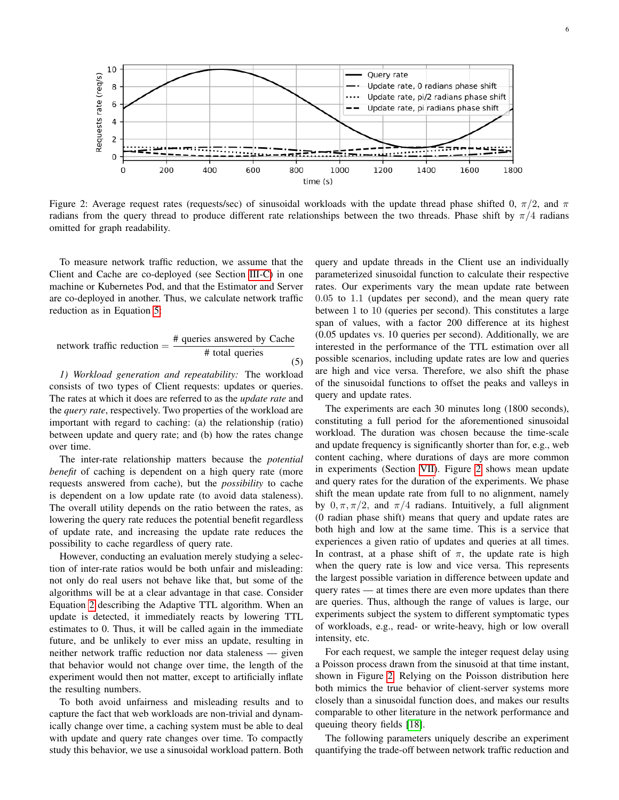<span id="page-5-1"></span>

Figure 2: Average request rates (requests/sec) of sinusoidal workloads with the update thread phase shifted 0,  $\pi/2$ , and  $\pi$ radians from the query thread to produce different rate relationships between the two threads. Phase shift by  $\pi/4$  radians omitted for graph readability.

To measure network traffic reduction, we assume that the Client and Cache are co-deployed (see Section [III-C\)](#page-2-3) in one machine or Kubernetes Pod, and that the Estimator and Server are co-deployed in another. Thus, we calculate network traffic reduction as in Equation [5:](#page-5-0)

<span id="page-5-0"></span>network traffic reduction = 
$$
\frac{\text{# queries answered by Cache}}{\text{# total queries}}
$$
 (5)

*1) Workload generation and repeatability:* The workload consists of two types of Client requests: updates or queries. The rates at which it does are referred to as the *update rate* and the *query rate*, respectively. Two properties of the workload are important with regard to caching: (a) the relationship (ratio) between update and query rate; and (b) how the rates change over time.

The inter-rate relationship matters because the *potential benefit* of caching is dependent on a high query rate (more requests answered from cache), but the *possibility* to cache is dependent on a low update rate (to avoid data staleness). The overall utility depends on the ratio between the rates, as lowering the query rate reduces the potential benefit regardless of update rate, and increasing the update rate reduces the possibility to cache regardless of query rate.

However, conducting an evaluation merely studying a selection of inter-rate ratios would be both unfair and misleading: not only do real users not behave like that, but some of the algorithms will be at a clear advantage in that case. Consider Equation [2](#page-3-0) describing the Adaptive TTL algorithm. When an update is detected, it immediately reacts by lowering TTL estimates to 0. Thus, it will be called again in the immediate future, and be unlikely to ever miss an update, resulting in neither network traffic reduction nor data staleness — given that behavior would not change over time, the length of the experiment would then not matter, except to artificially inflate the resulting numbers.

To both avoid unfairness and misleading results and to capture the fact that web workloads are non-trivial and dynamically change over time, a caching system must be able to deal with update and query rate changes over time. To compactly study this behavior, we use a sinusoidal workload pattern. Both

query and update threads in the Client use an individually parameterized sinusoidal function to calculate their respective rates. Our experiments vary the mean update rate between 0.05 to 1.1 (updates per second), and the mean query rate between 1 to 10 (queries per second). This constitutes a large span of values, with a factor 200 difference at its highest (0.05 updates vs. 10 queries per second). Additionally, we are interested in the performance of the TTL estimation over all possible scenarios, including update rates are low and queries are high and vice versa. Therefore, we also shift the phase of the sinusoidal functions to offset the peaks and valleys in query and update rates.

The experiments are each 30 minutes long (1800 seconds), constituting a full period for the aforementioned sinusoidal workload. The duration was chosen because the time-scale and update frequency is significantly shorter than for, e.g., web content caching, where durations of days are more common in experiments (Section [VII\)](#page-9-1). Figure [2](#page-5-1) shows mean update and query rates for the duration of the experiments. We phase shift the mean update rate from full to no alignment, namely by  $0, \pi, \pi/2$ , and  $\pi/4$  radians. Intuitively, a full alignment (0 radian phase shift) means that query and update rates are both high and low at the same time. This is a service that experiences a given ratio of updates and queries at all times. In contrast, at a phase shift of  $\pi$ , the update rate is high when the query rate is low and vice versa. This represents the largest possible variation in difference between update and query rates — at times there are even more updates than there are queries. Thus, although the range of values is large, our experiments subject the system to different symptomatic types of workloads, e.g., read- or write-heavy, high or low overall intensity, etc.

For each request, we sample the integer request delay using a Poisson process drawn from the sinusoid at that time instant, shown in Figure [2.](#page-5-1) Relying on the Poisson distribution here both mimics the true behavior of client-server systems more closely than a sinusoidal function does, and makes our results comparable to other literature in the network performance and queuing theory fields [\[18\]](#page-11-3).

The following parameters uniquely describe an experiment quantifying the trade-off between network traffic reduction and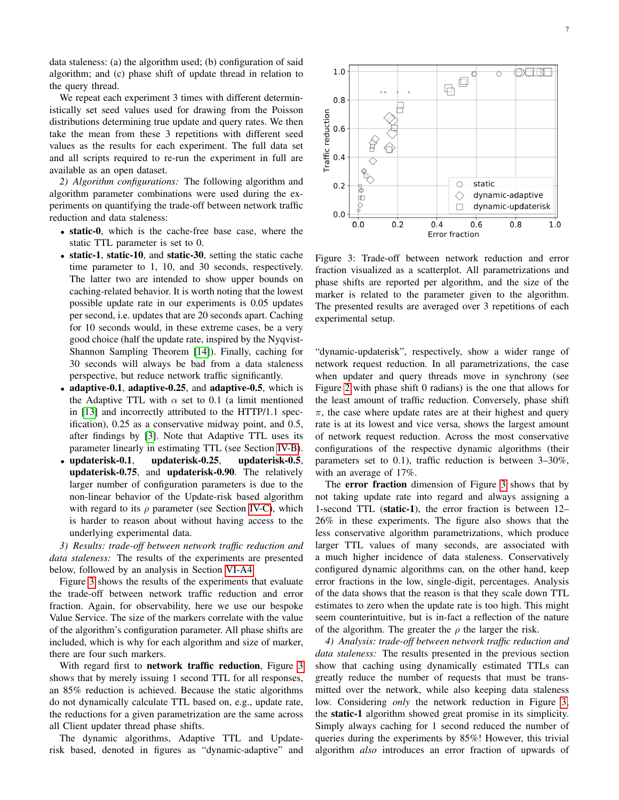data staleness: (a) the algorithm used; (b) configuration of said algorithm; and (c) phase shift of update thread in relation to the query thread.

We repeat each experiment 3 times with different deterministically set seed values used for drawing from the Poisson distributions determining true update and query rates. We then take the mean from these 3 repetitions with different seed values as the results for each experiment. The full data set and all scripts required to re-run the experiment in full are available as an open dataset.

<span id="page-6-3"></span>*2) Algorithm configurations:* The following algorithm and algorithm parameter combinations were used during the experiments on quantifying the trade-off between network traffic reduction and data staleness:

- static-0, which is the cache-free base case, where the static TTL parameter is set to 0.
- static-1, static-10, and static-30, setting the static cache time parameter to 1, 10, and 30 seconds, respectively. The latter two are intended to show upper bounds on caching-related behavior. It is worth noting that the lowest possible update rate in our experiments is 0.05 updates per second, i.e. updates that are 20 seconds apart. Caching for 10 seconds would, in these extreme cases, be a very good choice (half the update rate, inspired by the Nyqvist-Shannon Sampling Theorem [\[14\]](#page-10-13)). Finally, caching for 30 seconds will always be bad from a data staleness perspective, but reduce network traffic significantly.
- adaptive-0.1, adaptive-0.25, and adaptive-0.5, which is the Adaptive TTL with  $\alpha$  set to 0.1 (a limit mentioned in [\[13\]](#page-10-12) and incorrectly attributed to the HTTP/1.1 specification), 0.25 as a conservative midway point, and 0.5, after findings by [\[3\]](#page-10-2). Note that Adaptive TTL uses its parameter linearly in estimating TTL (see Section [IV-B\)](#page-3-2).
- updaterisk-0.1, updaterisk-0.25, updaterisk-0.5, updaterisk-0.75, and updaterisk-0.90. The relatively larger number of configuration parameters is due to the non-linear behavior of the Update-risk based algorithm with regard to its  $\rho$  parameter (see Section [IV-C\)](#page-3-3), which is harder to reason about without having access to the underlying experimental data.

<span id="page-6-2"></span>*3) Results: trade-off between network traffic reduction and data staleness:* The results of the experiments are presented below, followed by an analysis in Section [VI-A4.](#page-6-0)

Figure [3](#page-6-1) shows the results of the experiments that evaluate the trade-off between network traffic reduction and error fraction. Again, for observability, here we use our bespoke Value Service. The size of the markers correlate with the value of the algorithm's configuration parameter. All phase shifts are included, which is why for each algorithm and size of marker, there are four such markers.

With regard first to network traffic reduction, Figure [3](#page-6-1) shows that by merely issuing 1 second TTL for all responses, an 85% reduction is achieved. Because the static algorithms do not dynamically calculate TTL based on, e.g., update rate, the reductions for a given parametrization are the same across all Client updater thread phase shifts.

The dynamic algorithms, Adaptive TTL and Updaterisk based, denoted in figures as "dynamic-adaptive" and

<span id="page-6-1"></span>

Figure 3: Trade-off between network reduction and error fraction visualized as a scatterplot. All parametrizations and phase shifts are reported per algorithm, and the size of the marker is related to the parameter given to the algorithm. The presented results are averaged over 3 repetitions of each experimental setup.

"dynamic-updaterisk", respectively, show a wider range of network request reduction. In all parametrizations, the case when updater and query threads move in synchrony (see Figure [2](#page-5-1) with phase shift 0 radians) is the one that allows for the least amount of traffic reduction. Conversely, phase shift  $\pi$ , the case where update rates are at their highest and query rate is at its lowest and vice versa, shows the largest amount of network request reduction. Across the most conservative configurations of the respective dynamic algorithms (their parameters set to 0.1), traffic reduction is between 3–30%, with an average of 17%.

The error fraction dimension of Figure [3](#page-6-1) shows that by not taking update rate into regard and always assigning a 1-second TTL (static-1), the error fraction is between 12– 26% in these experiments. The figure also shows that the less conservative algorithm parametrizations, which produce larger TTL values of many seconds, are associated with a much higher incidence of data staleness. Conservatively configured dynamic algorithms can, on the other hand, keep error fractions in the low, single-digit, percentages. Analysis of the data shows that the reason is that they scale down TTL estimates to zero when the update rate is too high. This might seem counterintuitive, but is in-fact a reflection of the nature of the algorithm. The greater the  $\rho$  the larger the risk.

<span id="page-6-0"></span>*4) Analysis: trade-off between network traffic reduction and data staleness:* The results presented in the previous section show that caching using dynamically estimated TTLs can greatly reduce the number of requests that must be transmitted over the network, while also keeping data staleness low. Considering *only* the network reduction in Figure [3,](#page-6-1) the static-1 algorithm showed great promise in its simplicity. Simply always caching for 1 second reduced the number of queries during the experiments by 85%! However, this trivial algorithm *also* introduces an error fraction of upwards of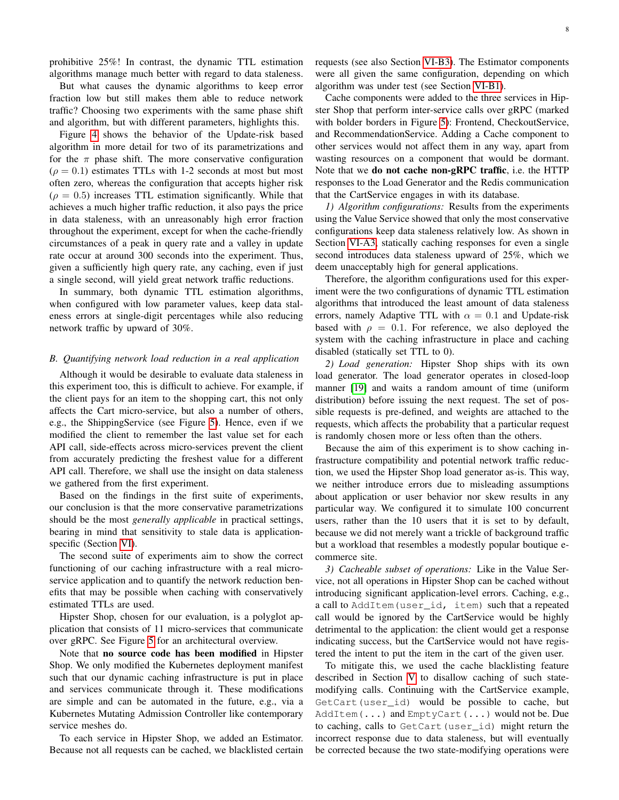prohibitive 25%! In contrast, the dynamic TTL estimation algorithms manage much better with regard to data staleness.

But what causes the dynamic algorithms to keep error fraction low but still makes them able to reduce network traffic? Choosing two experiments with the same phase shift and algorithm, but with different parameters, highlights this.

Figure [4](#page-8-1) shows the behavior of the Update-risk based algorithm in more detail for two of its parametrizations and for the  $\pi$  phase shift. The more conservative configuration  $(\rho = 0.1)$  estimates TTLs with 1-2 seconds at most but most often zero, whereas the configuration that accepts higher risk  $(\rho = 0.5)$  increases TTL estimation significantly. While that achieves a much higher traffic reduction, it also pays the price in data staleness, with an unreasonably high error fraction throughout the experiment, except for when the cache-friendly circumstances of a peak in query rate and a valley in update rate occur at around 300 seconds into the experiment. Thus, given a sufficiently high query rate, any caching, even if just a single second, will yield great network traffic reductions.

In summary, both dynamic TTL estimation algorithms, when configured with low parameter values, keep data staleness errors at single-digit percentages while also reducing network traffic by upward of 30%.

## <span id="page-7-0"></span>*B. Quantifying network load reduction in a real application*

Although it would be desirable to evaluate data staleness in this experiment too, this is difficult to achieve. For example, if the client pays for an item to the shopping cart, this not only affects the Cart micro-service, but also a number of others, e.g., the ShippingService (see Figure [5\)](#page-8-2). Hence, even if we modified the client to remember the last value set for each API call, side-effects across micro-services prevent the client from accurately predicting the freshest value for a different API call. Therefore, we shall use the insight on data staleness we gathered from the first experiment.

Based on the findings in the first suite of experiments, our conclusion is that the more conservative parametrizations should be the most *generally applicable* in practical settings, bearing in mind that sensitivity to stale data is applicationspecific (Section [VI\)](#page-4-0).

The second suite of experiments aim to show the correct functioning of our caching infrastructure with a real microservice application and to quantify the network reduction benefits that may be possible when caching with conservatively estimated TTLs are used.

Hipster Shop, chosen for our evaluation, is a polyglot application that consists of 11 micro-services that communicate over gRPC. See Figure [5](#page-8-2) for an architectural overview.

Note that no source code has been modified in Hipster Shop. We only modified the Kubernetes deployment manifest such that our dynamic caching infrastructure is put in place and services communicate through it. These modifications are simple and can be automated in the future, e.g., via a Kubernetes Mutating Admission Controller like contemporary service meshes do.

To each service in Hipster Shop, we added an Estimator. Because not all requests can be cached, we blacklisted certain requests (see also Section [VI-B3\)](#page-7-1). The Estimator components were all given the same configuration, depending on which algorithm was under test (see Section [VI-B1\)](#page-7-2).

Cache components were added to the three services in Hipster Shop that perform inter-service calls over gRPC (marked with bolder borders in Figure [5\)](#page-8-2): Frontend, CheckoutService, and RecommendationService. Adding a Cache component to other services would not affect them in any way, apart from wasting resources on a component that would be dormant. Note that we do not cache non-gRPC traffic, i.e. the HTTP responses to the Load Generator and the Redis communication that the CartService engages in with its database.

<span id="page-7-2"></span>*1) Algorithm configurations:* Results from the experiments using the Value Service showed that only the most conservative configurations keep data staleness relatively low. As shown in Section [VI-A3,](#page-6-2) statically caching responses for even a single second introduces data staleness upward of 25%, which we deem unacceptably high for general applications.

Therefore, the algorithm configurations used for this experiment were the two configurations of dynamic TTL estimation algorithms that introduced the least amount of data staleness errors, namely Adaptive TTL with  $\alpha = 0.1$  and Update-risk based with  $\rho = 0.1$ . For reference, we also deployed the system with the caching infrastructure in place and caching disabled (statically set TTL to 0).

<span id="page-7-3"></span>*2) Load generation:* Hipster Shop ships with its own load generator. The load generator operates in closed-loop manner [\[19\]](#page-11-4) and waits a random amount of time (uniform distribution) before issuing the next request. The set of possible requests is pre-defined, and weights are attached to the requests, which affects the probability that a particular request is randomly chosen more or less often than the others.

Because the aim of this experiment is to show caching infrastructure compatibility and potential network traffic reduction, we used the Hipster Shop load generator as-is. This way, we neither introduce errors due to misleading assumptions about application or user behavior nor skew results in any particular way. We configured it to simulate 100 concurrent users, rather than the 10 users that it is set to by default, because we did not merely want a trickle of background traffic but a workload that resembles a modestly popular boutique ecommerce site.

<span id="page-7-1"></span>*3) Cacheable subset of operations:* Like in the Value Service, not all operations in Hipster Shop can be cached without introducing significant application-level errors. Caching, e.g., a call to AddItem(user\_id, item) such that a repeated call would be ignored by the CartService would be highly detrimental to the application: the client would get a response indicating success, but the CartService would not have registered the intent to put the item in the cart of the given user.

To mitigate this, we used the cache blacklisting feature described in Section [V](#page-3-4) to disallow caching of such statemodifying calls. Continuing with the CartService example, GetCart(user\_id) would be possible to cache, but AddItem(...) and EmptyCart(...) would not be. Due to caching, calls to GetCart(user\_id) might return the incorrect response due to data staleness, but will eventually be corrected because the two state-modifying operations were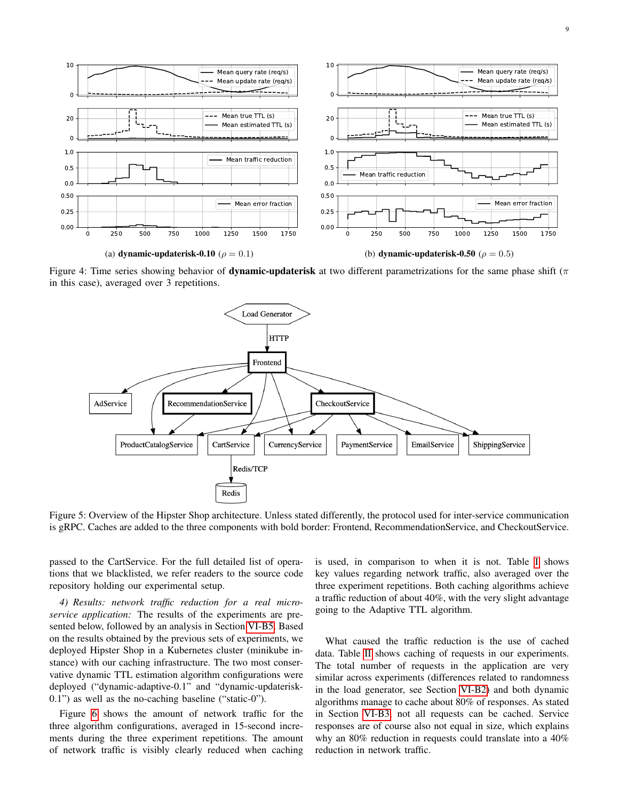<span id="page-8-1"></span>

<span id="page-8-2"></span>Figure 4: Time series showing behavior of **dynamic-updaterisk** at two different parametrizations for the same phase shift ( $\pi$ in this case), averaged over 3 repetitions.



Figure 5: Overview of the Hipster Shop architecture. Unless stated differently, the protocol used for inter-service communication is gRPC. Caches are added to the three components with bold border: Frontend, RecommendationService, and CheckoutService.

passed to the CartService. For the full detailed list of operations that we blacklisted, we refer readers to the source code repository holding our experimental setup.

<span id="page-8-0"></span>*4) Results: network traffic reduction for a real microservice application:* The results of the experiments are presented below, followed by an analysis in Section [VI-B5.](#page-9-0) Based on the results obtained by the previous sets of experiments, we deployed Hipster Shop in a Kubernetes cluster (minikube instance) with our caching infrastructure. The two most conservative dynamic TTL estimation algorithm configurations were deployed ("dynamic-adaptive-0.1" and "dynamic-updaterisk-0.1") as well as the no-caching baseline ("static-0").

Figure [6](#page-9-2) shows the amount of network traffic for the three algorithm configurations, averaged in 15-second increments during the three experiment repetitions. The amount of network traffic is visibly clearly reduced when caching is used, in comparison to when it is not. Table [I](#page-9-3) shows key values regarding network traffic, also averaged over the three experiment repetitions. Both caching algorithms achieve a traffic reduction of about 40%, with the very slight advantage going to the Adaptive TTL algorithm.

What caused the traffic reduction is the use of cached data. Table [II](#page-9-4) shows caching of requests in our experiments. The total number of requests in the application are very similar across experiments (differences related to randomness in the load generator, see Section [VI-B2\)](#page-7-3) and both dynamic algorithms manage to cache about 80% of responses. As stated in Section [VI-B3,](#page-7-1) not all requests can be cached. Service responses are of course also not equal in size, which explains why an 80% reduction in requests could translate into a 40% reduction in network traffic.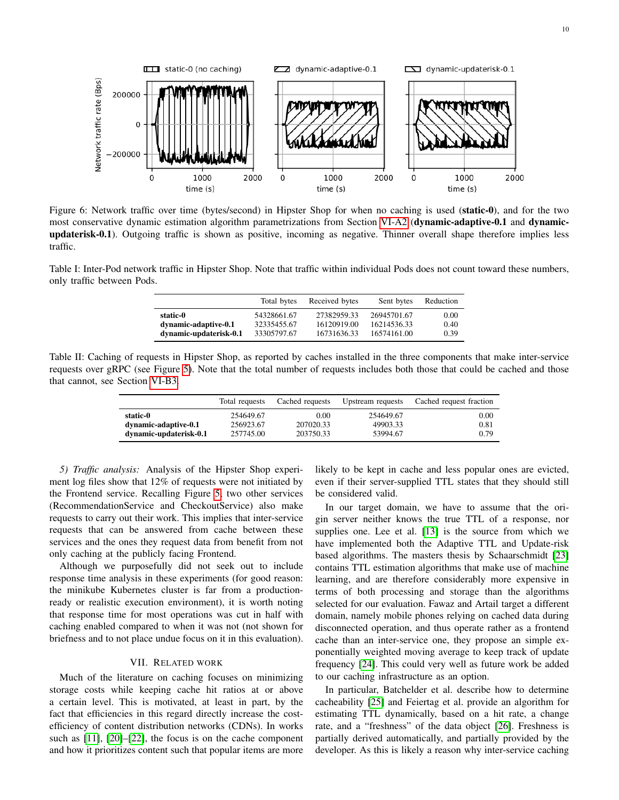<span id="page-9-2"></span>

Figure 6: Network traffic over time (bytes/second) in Hipster Shop for when no caching is used (static-0), and for the two most conservative dynamic estimation algorithm parametrizations from Section [VI-A2](#page-6-3) (dynamic-adaptive-0.1 and dynamicupdaterisk-0.1). Outgoing traffic is shown as positive, incoming as negative. Thinner overall shape therefore implies less traffic.

<span id="page-9-3"></span>Table I: Inter-Pod network traffic in Hipster Shop. Note that traffic within individual Pods does not count toward these numbers, only traffic between Pods.

|                        | Total bytes | Received bytes | Sent bytes  | Reduction |
|------------------------|-------------|----------------|-------------|-----------|
| static-0               | 54328661.67 | 27382959.33    | 26945701.67 | 0.00      |
| dynamic-adaptive-0.1   | 32335455.67 | 16120919.00    | 16214536.33 | 0.40      |
| dynamic-updaterisk-0.1 | 33305797.67 | 16731636.33    | 16574161.00 | 0.39      |

<span id="page-9-4"></span>Table II: Caching of requests in Hipster Shop, as reported by caches installed in the three components that make inter-service requests over gRPC (see Figure [5\)](#page-8-2). Note that the total number of requests includes both those that could be cached and those that cannot, see Section [VI-B3.](#page-7-1)

|                                  | Total requests         | Cached requests   | Upstream requests     | Cached request fraction |
|----------------------------------|------------------------|-------------------|-----------------------|-------------------------|
| static-0<br>dynamic-adaptive-0.1 | 254649.67<br>256923.67 | 0.00<br>207020.33 | 254649.67<br>49903.33 | 0.00<br>0.81            |
| dynamic-updaterisk-0.1           | 257745.00              | 203750.33         | 53994.67              | 0.79                    |

<span id="page-9-0"></span>*5) Traffic analysis:* Analysis of the Hipster Shop experiment log files show that 12% of requests were not initiated by the Frontend service. Recalling Figure [5,](#page-8-2) two other services (RecommendationService and CheckoutService) also make requests to carry out their work. This implies that inter-service requests that can be answered from cache between these services and the ones they request data from benefit from not only caching at the publicly facing Frontend.

Although we purposefully did not seek out to include response time analysis in these experiments (for good reason: the minikube Kubernetes cluster is far from a productionready or realistic execution environment), it is worth noting that response time for most operations was cut in half with caching enabled compared to when it was not (not shown for briefness and to not place undue focus on it in this evaluation).

## VII. RELATED WORK

<span id="page-9-1"></span>Much of the literature on caching focuses on minimizing storage costs while keeping cache hit ratios at or above a certain level. This is motivated, at least in part, by the fact that efficiencies in this regard directly increase the costefficiency of content distribution networks (CDNs). In works such as [\[11\]](#page-10-10), [\[20\]](#page-11-5)–[\[22\]](#page-11-6), the focus is on the cache component and how it prioritizes content such that popular items are more

likely to be kept in cache and less popular ones are evicted, even if their server-supplied TTL states that they should still be considered valid.

In our target domain, we have to assume that the origin server neither knows the true TTL of a response, nor supplies one. Lee et al. [\[13\]](#page-10-12) is the source from which we have implemented both the Adaptive TTL and Update-risk based algorithms. The masters thesis by Schaarschmidt [\[23\]](#page-11-7) contains TTL estimation algorithms that make use of machine learning, and are therefore considerably more expensive in terms of both processing and storage than the algorithms selected for our evaluation. Fawaz and Artail target a different domain, namely mobile phones relying on cached data during disconnected operation, and thus operate rather as a frontend cache than an inter-service one, they propose an simple exponentially weighted moving average to keep track of update frequency [\[24\]](#page-11-8). This could very well as future work be added to our caching infrastructure as an option.

In particular, Batchelder et al. describe how to determine cacheability [\[25\]](#page-11-9) and Feiertag et al. provide an algorithm for estimating TTL dynamically, based on a hit rate, a change rate, and a "freshness" of the data object [\[26\]](#page-11-10). Freshness is partially derived automatically, and partially provided by the developer. As this is likely a reason why inter-service caching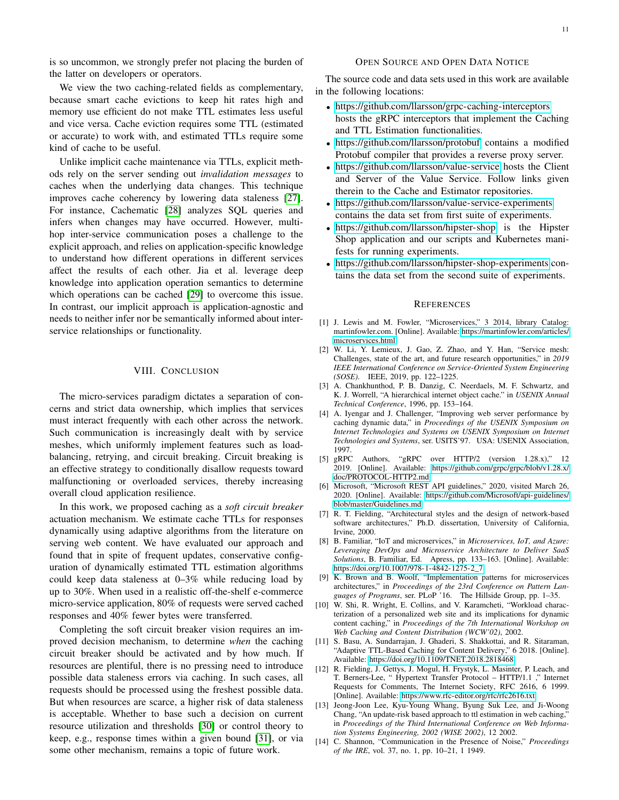is so uncommon, we strongly prefer not placing the burden of the latter on developers or operators.

We view the two caching-related fields as complementary, because smart cache evictions to keep hit rates high and memory use efficient do not make TTL estimates less useful and vice versa. Cache eviction requires some TTL (estimated or accurate) to work with, and estimated TTLs require some kind of cache to be useful.

Unlike implicit cache maintenance via TTLs, explicit methods rely on the server sending out *invalidation messages* to caches when the underlying data changes. This technique improves cache coherency by lowering data staleness [\[27\]](#page-11-11). For instance, Cachematic [\[28\]](#page-11-12) analyzes SQL queries and infers when changes may have occurred. However, multihop inter-service communication poses a challenge to the explicit approach, and relies on application-specific knowledge to understand how different operations in different services affect the results of each other. Jia et al. leverage deep knowledge into application operation semantics to determine which operations can be cached [\[29\]](#page-11-13) to overcome this issue. In contrast, our implicit approach is application-agnostic and needs to neither infer nor be semantically informed about interservice relationships or functionality.

# VIII. CONCLUSION

The micro-services paradigm dictates a separation of concerns and strict data ownership, which implies that services must interact frequently with each other across the network. Such communication is increasingly dealt with by service meshes, which uniformly implement features such as loadbalancing, retrying, and circuit breaking. Circuit breaking is an effective strategy to conditionally disallow requests toward malfunctioning or overloaded services, thereby increasing overall cloud application resilience.

In this work, we proposed caching as a *soft circuit breaker* actuation mechanism. We estimate cache TTLs for responses dynamically using adaptive algorithms from the literature on serving web content. We have evaluated our approach and found that in spite of frequent updates, conservative configuration of dynamically estimated TTL estimation algorithms could keep data staleness at 0–3% while reducing load by up to 30%. When used in a realistic off-the-shelf e-commerce micro-service application, 80% of requests were served cached responses and 40% fewer bytes were transferred.

Completing the soft circuit breaker vision requires an improved decision mechanism, to determine *when* the caching circuit breaker should be activated and by how much. If resources are plentiful, there is no pressing need to introduce possible data staleness errors via caching. In such cases, all requests should be processed using the freshest possible data. But when resources are scarce, a higher risk of data staleness is acceptable. Whether to base such a decision on current resource utilization and thresholds [\[30\]](#page-11-14) or control theory to keep, e.g., response times within a given bound [\[31\]](#page-11-15), or via some other mechanism, remains a topic of future work.

## OPEN SOURCE AND OPEN DATA NOTICE

The source code and data sets used in this work are available in the following locations:

- <https://github.com/llarsson/grpc-caching-interceptors> hosts the gRPC interceptors that implement the Caching and TTL Estimation functionalities.
- <https://github.com/llarsson/protobuf> contains a modified Protobuf compiler that provides a reverse proxy server.
- <https://github.com/llarsson/value-service> hosts the Client and Server of the Value Service. Follow links given therein to the Cache and Estimator repositories.
- <https://github.com/llarsson/value-service-experiments> contains the data set from first suite of experiments.
- <https://github.com/llarsson/hipster-shop> is the Hipster Shop application and our scripts and Kubernetes manifests for running experiments.
- <https://github.com/llarsson/hipster-shop-experiments> contains the data set from the second suite of experiments.

#### **REFERENCES**

- <span id="page-10-0"></span>[1] J. Lewis and M. Fowler, "Microservices," 3 2014, library Catalog: martinfowler.com. [Online]. Available: [https://martinfowler.com/articles/](https://martinfowler.com/articles/microservices.html) [microservices.html](https://martinfowler.com/articles/microservices.html)
- <span id="page-10-1"></span>[2] W. Li, Y. Lemieux, J. Gao, Z. Zhao, and Y. Han, "Service mesh: Challenges, state of the art, and future research opportunities," in *2019 IEEE International Conference on Service-Oriented System Engineering (SOSE)*. IEEE, 2019, pp. 122–1225.
- <span id="page-10-2"></span>[3] A. Chankhunthod, P. B. Danzig, C. Neerdaels, M. F. Schwartz, and K. J. Worrell, "A hierarchical internet object cache." in *USENIX Annual Technical Conference*, 1996, pp. 153–164.
- <span id="page-10-3"></span>[4] A. Iyengar and J. Challenger, "Improving web server performance by caching dynamic data," in *Proceedings of the USENIX Symposium on Internet Technologies and Systems on USENIX Symposium on Internet Technologies and Systems*, ser. USITS'97. USA: USENIX Association, 1997.
- <span id="page-10-4"></span>[5] gRPC Authors, "gRPC over HTTP/2 (version 1.28.x)," 12 2019. [Online]. Available: [https://github.com/grpc/grpc/blob/v1.28.x/](https://github.com/grpc/grpc/blob/v1.28.x/doc/PROTOCOL-HTTP2.md) [doc/PROTOCOL-HTTP2.md](https://github.com/grpc/grpc/blob/v1.28.x/doc/PROTOCOL-HTTP2.md)
- <span id="page-10-5"></span>[6] Microsoft, "Microsoft REST API guidelines," 2020, visited March 26, 2020. [Online]. Available: [https://github.com/Microsoft/api-guidelines/](https://github.com/Microsoft/api-guidelines/blob/master/Guidelines.md) [blob/master/Guidelines.md](https://github.com/Microsoft/api-guidelines/blob/master/Guidelines.md)
- <span id="page-10-6"></span>[7] R. T. Fielding, "Architectural styles and the design of network-based software architectures," Ph.D. dissertation, University of California, Irvine, 2000.
- <span id="page-10-7"></span>[8] B. Familiar, "IoT and microservices," in *Microservices, IoT, and Azure: Leveraging DevOps and Microservice Architecture to Deliver SaaS Solutions*, B. Familiar, Ed. Apress, pp. 133–163. [Online]. Available: [https://doi.org/10.1007/978-1-4842-1275-2\\_7](https://doi.org/10.1007/978-1-4842-1275-2_7)
- <span id="page-10-8"></span>[9] K. Brown and B. Woolf, "Implementation patterns for microservices architectures," in *Proceedings of the 23rd Conference on Pattern Languages of Programs*, ser. PLoP '16. The Hillside Group, pp. 1–35.
- <span id="page-10-9"></span>[10] W. Shi, R. Wright, E. Collins, and V. Karamcheti, "Workload characterization of a personalized web site and its implications for dynamic content caching," in *Proceedings of the 7th International Workshop on Web Caching and Content Distribution (WCW'02)*, 2002.
- <span id="page-10-10"></span>[11] S. Basu, A. Sundarrajan, J. Ghaderi, S. Shakkottai, and R. Sitaraman, "Adaptive TTL-Based Caching for Content Delivery," 6 2018. [Online]. Available:<https://doi.org/10.1109/TNET.2018.2818468>
- <span id="page-10-11"></span>[12] R. Fielding, J. Gettys, J. Mogul, H. Frystyk, L. Masinter, P. Leach, and T. Berners-Lee, " Hypertext Transfer Protocol – HTTP/1.1 ," Internet Requests for Comments, The Internet Society, RFC 2616, 6 1999. [Online]. Available:<https://www.rfc-editor.org/rfc/rfc2616.txt>
- <span id="page-10-12"></span>[13] Jeong-Joon Lee, Kyu-Young Whang, Byung Suk Lee, and Ji-Woong Chang, "An update-risk based approach to ttl estimation in web caching," in *Proceedings of the Third International Conference on Web Information Systems Engineering, 2002 (WISE 2002)*, 12 2002.
- <span id="page-10-13"></span>[14] C. Shannon, "Communication in the Presence of Noise," *Proceedings of the IRE*, vol. 37, no. 1, pp. 10–21, 1 1949.